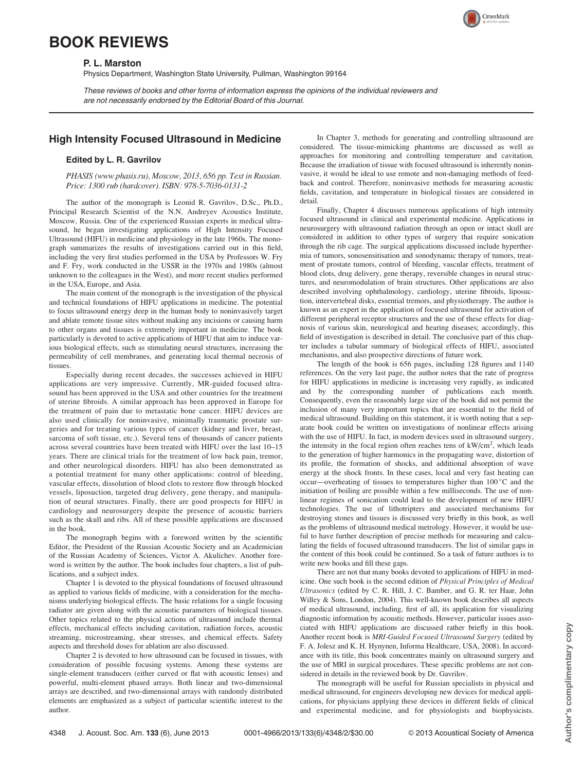## BOOK REVIEWS

## P. L. Marston

Physics Department, Washington State University, Pullman, Washington 99164

These reviews of books and other forms of information express the opinions of the individual reviewers and are not necessarily endorsed by the Editorial Board of this Journal.

## High Intensity Focused Ultrasound in Medicine

## Edited by L. R. Gavrilov

PHASIS (www.phasis.ru), Moscow, 2013, 656 pp. Text in Russian. Price: 1300 rub (hardcover). ISBN: 978-5-7036-0131-2

The author of the monograph is Leonid R. Gavrilov, D.Sc., Ph.D., Principal Research Scientist of the N.N. Andreyev Acoustics Institute, Moscow, Russia. One of the experienced Russian experts in medical ultrasound, he began investigating applications of High Intensity Focused Ultrasound (HIFU) in medicine and physiology in the late 1960s. The monograph summarizes the results of investigations carried out in this field, including the very first studies performed in the USA by Professors W. Fry and F. Fry, work conducted in the USSR in the 1970s and 1980s (almost unknown to the colleagues in the West), and more recent studies performed in the USA, Europe, and Asia.

The main content of the monograph is the investigation of the physical and technical foundations of HIFU applications in medicine. The potential to focus ultrasound energy deep in the human body to noninvasively target and ablate remote tissue sites without making any incisions or causing harm to other organs and tissues is extremely important in medicine. The book particularly is devoted to active applications of HIFU that aim to induce various biological effects, such as stimulating neural structures, increasing the permeability of cell membranes, and generating local thermal necrosis of tissues.

Especially during recent decades, the successes achieved in HIFU applications are very impressive. Currently, MR-guided focused ultrasound has been approved in the USA and other countries for the treatment of uterine fibroids. A similar approach has been approved in Europe for the treatment of pain due to metastatic bone cancer. HIFU devices are also used clinically for noninvasive, minimally traumatic prostate surgeries and for treating various types of cancer (kidney and liver, breast, sarcoma of soft tissue, etc.). Several tens of thousands of cancer patients across several countries have been treated with HIFU over the last 10–15 years. There are clinical trials for the treatment of low back pain, tremor, and other neurological disorders. HIFU has also been demonstrated as a potential treatment for many other applications: control of bleeding, vascular effects, dissolution of blood clots to restore flow through blocked vessels, liposuction, targeted drug delivery, gene therapy, and manipulation of neural structures. Finally, there are good prospects for HIFU in cardiology and neurosurgery despite the presence of acoustic barriers such as the skull and ribs. All of these possible applications are discussed in the book.

The monograph begins with a foreword written by the scientific Editor, the President of the Russian Acoustic Society and an Academician of the Russian Academy of Sciences, Victor A. Akulichev. Another foreword is written by the author. The book includes four chapters, a list of publications, and a subject index.

Chapter 1 is devoted to the physical foundations of focused ultrasound as applied to various fields of medicine, with a consideration for the mechanisms underlying biological effects. The basic relations for a single focusing radiator are given along with the acoustic parameters of biological tissues. Other topics related to the physical actions of ultrasound include thermal effects, mechanical effects including cavitation, radiation forces, acoustic streaming, microstreaming, shear stresses, and chemical effects. Safety aspects and threshold doses for ablation are also discussed.

Chapter 2 is devoted to how ultrasound can be focused in tissues, with consideration of possible focusing systems. Among these systems are single-element transducers (either curved or flat with acoustic lenses) and powerful, multi-element phased arrays. Both linear and two-dimensional arrays are described, and two-dimensional arrays with randomly distributed elements are emphasized as a subject of particular scientific interest to the author.

In Chapter 3, methods for generating and controlling ultrasound are considered. The tissue-mimicking phantoms are discussed as well as approaches for monitoring and controlling temperature and cavitation. Because the irradiation of tissue with focused ultrasound is inherently noninvasive, it would be ideal to use remote and non-damaging methods of feedback and control. Therefore, noninvasive methods for measuring acoustic fields, cavitation, and temperature in biological tissues are considered in detail.

Finally, Chapter 4 discusses numerous applications of high intensity focused ultrasound in clinical and experimental medicine. Applications in neurosurgery with ultrasound radiation through an open or intact skull are considered in addition to other types of surgery that require sonication through the rib cage. The surgical applications discussed include hyperthermia of tumors, sonosensitisation and sonodynamic therapy of tumors, treatment of prostate tumors, control of bleeding, vascular effects, treatment of blood clots, drug delivery, gene therapy, reversible changes in neural structures, and neuromodulation of brain structures. Other applications are also described involving ophthalmology, cardiology, uterine fibroids, liposuction, intervertebral disks, essential tremors, and physiotherapy. The author is known as an expert in the application of focused ultrasound for activation of different peripheral receptor structures and the use of these effects for diagnosis of various skin, neurological and hearing diseases; accordingly, this field of investigation is described in detail. The conclusive part of this chapter includes a tabular summary of biological effects of HIFU, associated mechanisms, and also prospective directions of future work.

The length of the book is 656 pages, including 128 figures and 1140 references. On the very last page, the author notes that the rate of progress for HIFU applications in medicine is increasing very rapidly, as indicated and by the corresponding number of publications each month. Consequently, even the reasonably large size of the book did not permit the inclusion of many very important topics that are essential to the field of medical ultrasound. Building on this statement, it is worth noting that a separate book could be written on investigations of nonlinear effects arising with the use of HIFU. In fact, in modern devices used in ultrasound surgery, the intensity in the focal region often reaches tens of  $kW/cm<sup>2</sup>$ , which leads to the generation of higher harmonics in the propagating wave, distortion of its profile, the formation of shocks, and additional absorption of wave energy at the shock fronts. In these cases, local and very fast heating can occur—overheating of tissues to temperatures higher than 100 °C and the initiation of boiling are possible within a few milliseconds. The use of nonlinear regimes of sonication could lead to the development of new HIFU technologies. The use of lithotripters and associated mechanisms for destroying stones and tissues is discussed very briefly in this book, as well as the problems of ultrasound medical metrology. However, it would be useful to have further description of precise methods for measuring and calculating the fields of focused ultrasound transducers. The list of similar gaps in the content of this book could be continued. So a task of future authors is to write new books and fill these gaps.

There are not that many books devoted to applications of HIFU in medicine. One such book is the second edition of Physical Principles of Medical Ultrasonics (edited by C. R. Hill, J. C. Bamber, and G. R. ter Haar, John Willey & Sons, London, 2004). This well-known book describes all aspects of medical ultrasound, including, first of all, its application for visualizing diagnostic information by acoustic methods. However, particular issues associated with HIFU applications are discussed rather briefly in this book. Another recent book is MRI-Guided Focused Ultrasound Surgery (edited by F. A. Jolesz and K. H. Hynynen, Informa Healthcare, USA, 2008). In accordance with its title, this book concentrates mainly on ultrasound surgery and the use of MRI in surgical procedures. These specific problems are not considered in details in the reviewed book by Dr. Gavrilov.

The monograph will be useful for Russian specialists in physical and medical ultrasound, for engineers developing new devices for medical applications, for physicians applying these devices in different fields of clinical and experimental medicine, and for physiologists and biophysicists.